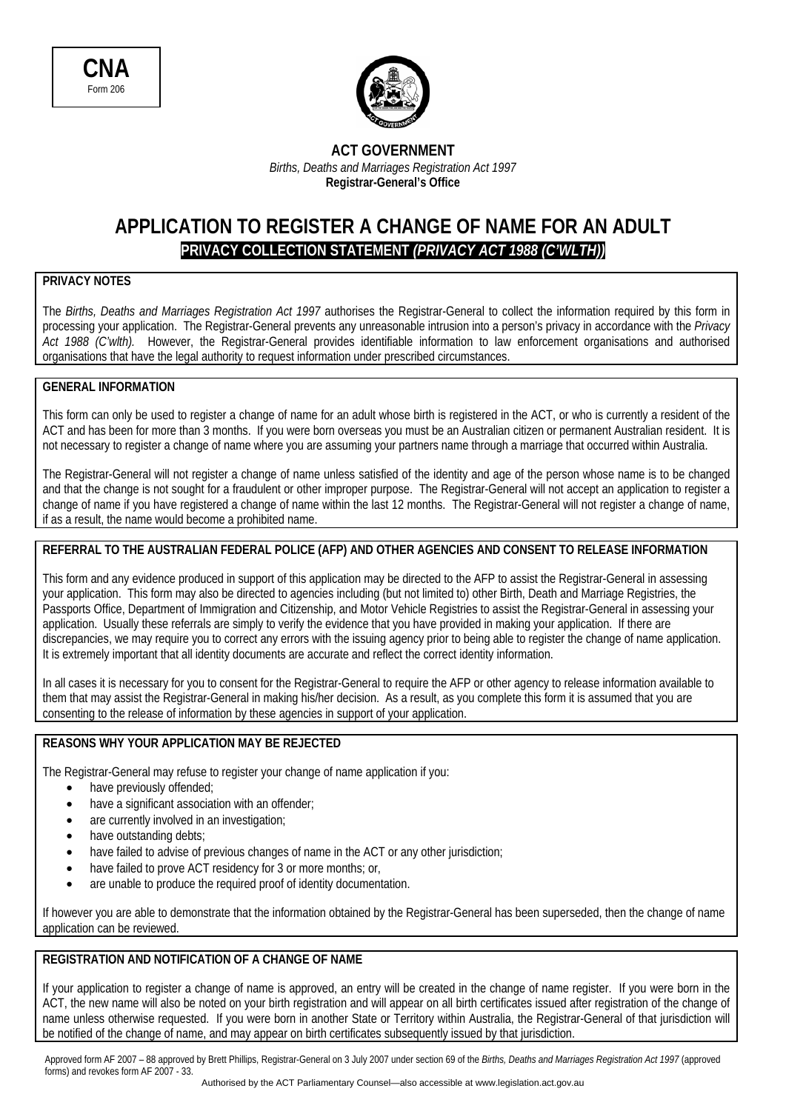

#### **ACT GOVERNMENT**  *Births, Deaths and Marriages Registration Act 1997*  **Registrar-General's Office**

# **APPLICATION TO REGISTER A CHANGE OF NAME FOR AN ADULT PRIVACY COLLECTION STATEMENT** *(PRIVACY ACT 1988 (C'WLTH))*

### **PRIVACY NOTES**

The *Births, Deaths and Marriages Registration Act 1997* authorises the Registrar-General to collect the information required by this form in processing your application. The Registrar-General prevents any unreasonable intrusion into a person's privacy in accordance with the *Privacy Act 1988 (C'wlth).* However, the Registrar-General provides identifiable information to law enforcement organisations and authorised organisations that have the legal authority to request information under prescribed circumstances.

#### **GENERAL INFORMATION**

This form can only be used to register a change of name for an adult whose birth is registered in the ACT, or who is currently a resident of the ACT and has been for more than 3 months. If you were born overseas you must be an Australian citizen or permanent Australian resident. It is not necessary to register a change of name where you are assuming your partners name through a marriage that occurred within Australia.

The Registrar-General will not register a change of name unless satisfied of the identity and age of the person whose name is to be changed and that the change is not sought for a fraudulent or other improper purpose. The Registrar-General will not accept an application to register a change of name if you have registered a change of name within the last 12 months. The Registrar-General will not register a change of name, if as a result, the name would become a prohibited name.

## **REFERRAL TO THE AUSTRALIAN FEDERAL POLICE (AFP) AND OTHER AGENCIES AND CONSENT TO RELEASE INFORMATION**

This form and any evidence produced in support of this application may be directed to the AFP to assist the Registrar-General in assessing your application. This form may also be directed to agencies including (but not limited to) other Birth, Death and Marriage Registries, the Passports Office, Department of Immigration and Citizenship, and Motor Vehicle Registries to assist the Registrar-General in assessing your application. Usually these referrals are simply to verify the evidence that you have provided in making your application. If there are discrepancies, we may require you to correct any errors with the issuing agency prior to being able to register the change of name application. It is extremely important that all identity documents are accurate and reflect the correct identity information.

In all cases it is necessary for you to consent for the Registrar-General to require the AFP or other agency to release information available to them that may assist the Registrar-General in making his/her decision. As a result, as you complete this form it is assumed that you are consenting to the release of information by these agencies in support of your application.

### **REASONS WHY YOUR APPLICATION MAY BE REJECTED**

The Registrar-General may refuse to register your change of name application if you:

- have previously offended;
- have a significant association with an offender:
- are currently involved in an investigation;
- have outstanding debts;
- have failed to advise of previous changes of name in the ACT or any other jurisdiction;
- have failed to prove ACT residency for 3 or more months; or,
- are unable to produce the required proof of identity documentation.

If however you are able to demonstrate that the information obtained by the Registrar-General has been superseded, then the change of name application can be reviewed.

### **REGISTRATION AND NOTIFICATION OF A CHANGE OF NAME**

If your application to register a change of name is approved, an entry will be created in the change of name register. If you were born in the ACT, the new name will also be noted on your birth registration and will appear on all birth certificates issued after registration of the change of name unless otherwise requested. If you were born in another State or Territory within Australia, the Registrar-General of that jurisdiction will be notified of the change of name, and may appear on birth certificates subsequently issued by that jurisdiction.

Approved form AF 2007 – 88 approved by Brett Phillips, Registrar-General on 3 July 2007 under section 69 of the *Births, Deaths and Marriages Registration Act 1997* (approved forms) and revokes form AF 2007 - 33.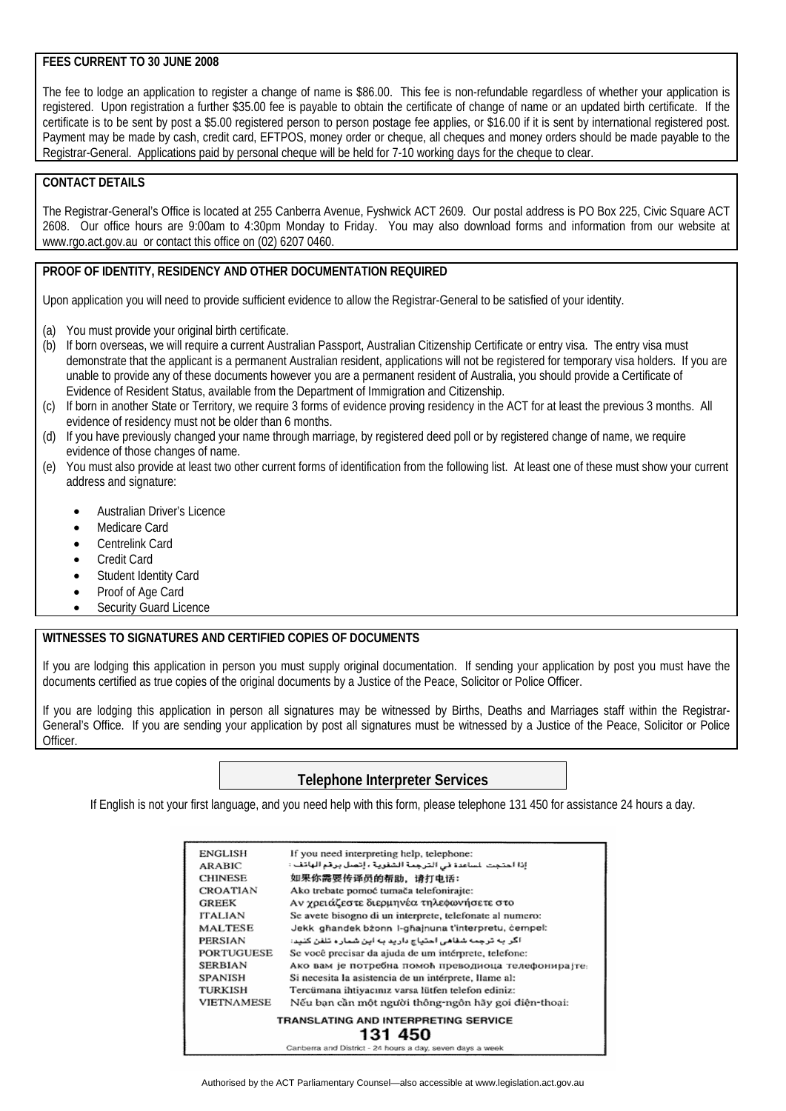#### **FEES CURRENT TO 30 JUNE 2008**

The fee to lodge an application to register a change of name is \$86.00. This fee is non-refundable regardless of whether your application is registered. Upon registration a further \$35.00 fee is payable to obtain the certificate of change of name or an updated birth certificate. If the certificate is to be sent by post a \$5.00 registered person to person postage fee applies, or \$16.00 if it is sent by international registered post. Payment may be made by cash, credit card, EFTPOS, money order or cheque, all cheques and money orders should be made payable to the Registrar-General. Applications paid by personal cheque will be held for 7-10 working days for the cheque to clear.

#### **CONTACT DETAILS**

The Registrar-General's Office is located at 255 Canberra Avenue, Fyshwick ACT 2609. Our postal address is PO Box 225, Civic Square ACT 2608. Our office hours are 9:00am to 4:30pm Monday to Friday. You may also download forms and information from our website at www.rgo.act.gov.au or contact this office on (02) 6207 0460.

#### **PROOF OF IDENTITY, RESIDENCY AND OTHER DOCUMENTATION REQUIRED**

Upon application you will need to provide sufficient evidence to allow the Registrar-General to be satisfied of your identity.

- (a) You must provide your original birth certificate.
- (b) If born overseas, we will require a current Australian Passport, Australian Citizenship Certificate or entry visa. The entry visa must demonstrate that the applicant is a permanent Australian resident, applications will not be registered for temporary visa holders. If you are unable to provide any of these documents however you are a permanent resident of Australia, you should provide a Certificate of Evidence of Resident Status, available from the Department of Immigration and Citizenship.
- (c) If born in another State or Territory, we require 3 forms of evidence proving residency in the ACT for at least the previous 3 months. All evidence of residency must not be older than 6 months.
- (d) If you have previously changed your name through marriage, by registered deed poll or by registered change of name, we require evidence of those changes of name.
- (e) You must also provide at least two other current forms of identification from the following list. At least one of these must show your current address and signature:
	- Australian Driver's Licence
	- Medicare Card
	- Centrelink Card
	- Credit Card
	- Student Identity Card
	- Proof of Age Card
	- Security Guard Licence

#### **WITNESSES TO SIGNATURES AND CERTIFIED COPIES OF DOCUMENTS**

If you are lodging this application in person you must supply original documentation. If sending your application by post you must have the documents certified as true copies of the original documents by a Justice of the Peace, Solicitor or Police Officer.

If you are lodging this application in person all signatures may be witnessed by Births, Deaths and Marriages staff within the Registrar-General's Office. If you are sending your application by post all signatures must be witnessed by a Justice of the Peace, Solicitor or Police Officer.

### **Telephone Interpreter Services**

If English is not your first language, and you need help with this form, please telephone 131 450 for assistance 24 hours a day.

| <b>ENGLISH</b>    | If you need interpreting help, telephone:                 |
|-------------------|-----------------------------------------------------------|
| <b>ARABIC</b>     | إذا احتجت للساعدة في الترجمة الشفوية ، إتصل برقم الهاتف : |
| <b>CHINESE</b>    | 如果你需要传译员的帮助,请打电话:                                         |
| <b>CROATIAN</b>   | Ako trebate pomoć tumača telefonirajte:                   |
| <b>GREEK</b>      | Αν γρειάζεστε διερμηνέα τηλεφωνήσετε στο                  |
| <b>ITALIAN</b>    | Se avete bisogno di un interprete, telefonate al numero:  |
| MALTESE           | Jekk ghandek bzonn I-ghainuna t'interpretu, cempel:       |
| PERSIAN           | اگر به ترجمه شفاهی احتیاج دارید به این شمار ه تلفن کنید:  |
| <b>PORTUGUESE</b> | Se você precisar da ajuda de um intérprete, telefone:     |
| <b>SERBIAN</b>    | Ако вам је потребна помоћ преводиоца телефонира{те:       |
| SPANISH           | Si necesita la asistencia de un intérprete, llame al:     |
| TURKISH           | Tercümana ihtiyacınız varsa lütfen telefon ediniz:        |
| <b>VIETNAMESE</b> | Nếu bạn cần một người thông-ngôn hãy gọi điện-thoại:      |
|                   | TRANSLATING AND INTERPRETING SERVICE                      |
|                   | 131 450                                                   |
|                   | Canberra and District - 24 hours a day, seven days a week |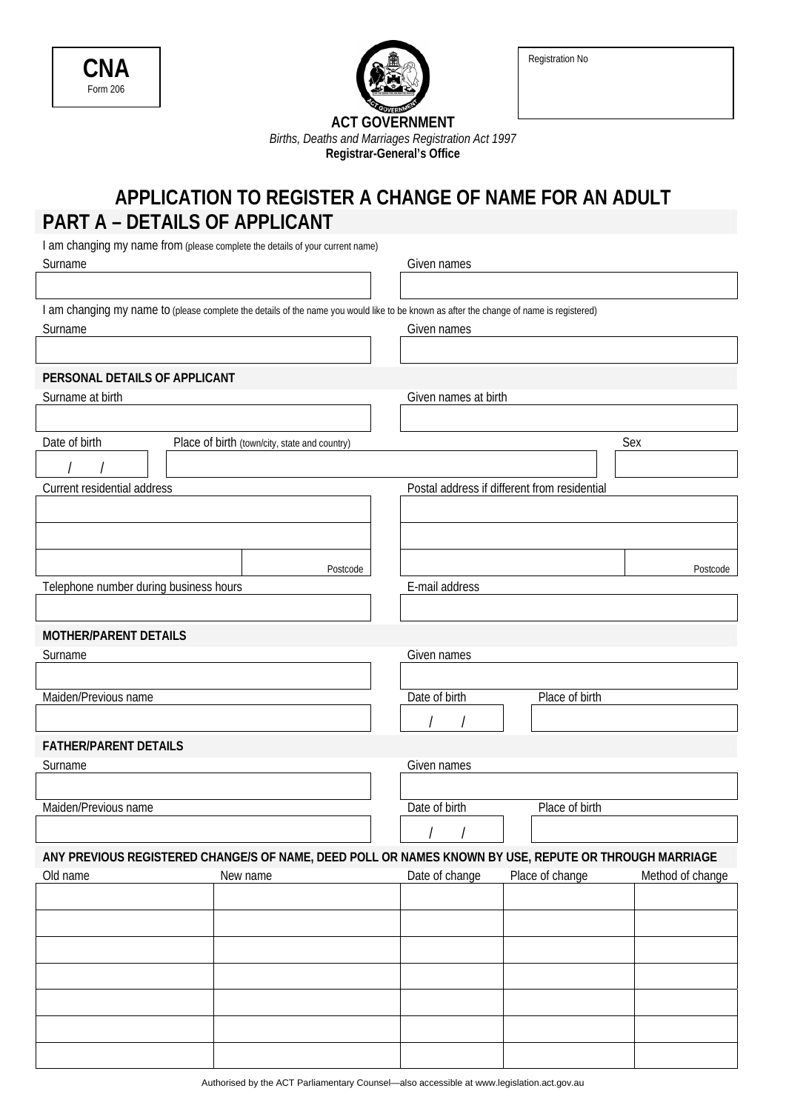| CNA      |  |
|----------|--|
| Form 206 |  |



Registration No

**ACT GOVERNMENT**  *Births, Deaths and Marriages Registration Act 1997*  **Registrar-General's Office** 

# **APPLICATION TO REGISTER A CHANGE OF NAME FOR AN ADULT PART A – DETAILS OF APPLICANT**

| I am changing my name from (please complete the details of your current name) |                                                                                                                                         |                      |                                              |                  |
|-------------------------------------------------------------------------------|-----------------------------------------------------------------------------------------------------------------------------------------|----------------------|----------------------------------------------|------------------|
| Surname                                                                       | Given names                                                                                                                             |                      |                                              |                  |
|                                                                               |                                                                                                                                         |                      |                                              |                  |
|                                                                               | I am changing my name to (please complete the details of the name you would like to be known as after the change of name is registered) |                      |                                              |                  |
| Surname                                                                       |                                                                                                                                         | Given names          |                                              |                  |
|                                                                               |                                                                                                                                         |                      |                                              |                  |
| PERSONAL DETAILS OF APPLICANT                                                 |                                                                                                                                         |                      |                                              |                  |
| Surname at birth                                                              |                                                                                                                                         | Given names at birth |                                              |                  |
|                                                                               |                                                                                                                                         |                      |                                              |                  |
| Date of birth                                                                 | Place of birth (town/city, state and country)                                                                                           |                      |                                              | Sex              |
|                                                                               |                                                                                                                                         |                      |                                              |                  |
| Current residential address                                                   |                                                                                                                                         |                      | Postal address if different from residential |                  |
|                                                                               |                                                                                                                                         |                      |                                              |                  |
|                                                                               |                                                                                                                                         |                      |                                              |                  |
|                                                                               |                                                                                                                                         |                      |                                              |                  |
|                                                                               | Postcode                                                                                                                                |                      |                                              | Postcode         |
| Telephone number during business hours                                        |                                                                                                                                         | E-mail address       |                                              |                  |
|                                                                               |                                                                                                                                         |                      |                                              |                  |
| <b>MOTHER/PARENT DETAILS</b>                                                  |                                                                                                                                         |                      |                                              |                  |
| Surname                                                                       |                                                                                                                                         | Given names          |                                              |                  |
|                                                                               |                                                                                                                                         |                      |                                              |                  |
| Maiden/Previous name                                                          |                                                                                                                                         | Date of birth        | Place of birth                               |                  |
|                                                                               |                                                                                                                                         |                      |                                              |                  |
| <b>FATHER/PARENT DETAILS</b>                                                  |                                                                                                                                         |                      |                                              |                  |
| Surname                                                                       |                                                                                                                                         | Given names          |                                              |                  |
|                                                                               |                                                                                                                                         |                      |                                              |                  |
| Maiden/Previous name                                                          |                                                                                                                                         | Date of birth        | Place of birth                               |                  |
|                                                                               |                                                                                                                                         | $\frac{1}{2}$        |                                              |                  |
|                                                                               | ANY PREVIOUS REGISTERED CHANGE/S OF NAME, DEED POLL OR NAMES KNOWN BY USE, REPUTE OR THROUGH MARRIAGE                                   |                      |                                              |                  |
| Old name                                                                      | New name                                                                                                                                | Date of change       | Place of change                              | Method of change |
|                                                                               |                                                                                                                                         |                      |                                              |                  |
|                                                                               |                                                                                                                                         |                      |                                              |                  |
|                                                                               |                                                                                                                                         |                      |                                              |                  |
|                                                                               |                                                                                                                                         |                      |                                              |                  |
|                                                                               |                                                                                                                                         |                      |                                              |                  |
|                                                                               |                                                                                                                                         |                      |                                              |                  |
|                                                                               |                                                                                                                                         |                      |                                              |                  |
|                                                                               |                                                                                                                                         |                      |                                              |                  |

Authorised by the ACT Parliamentary Counsel—also accessible at www.legislation.act.gov.au